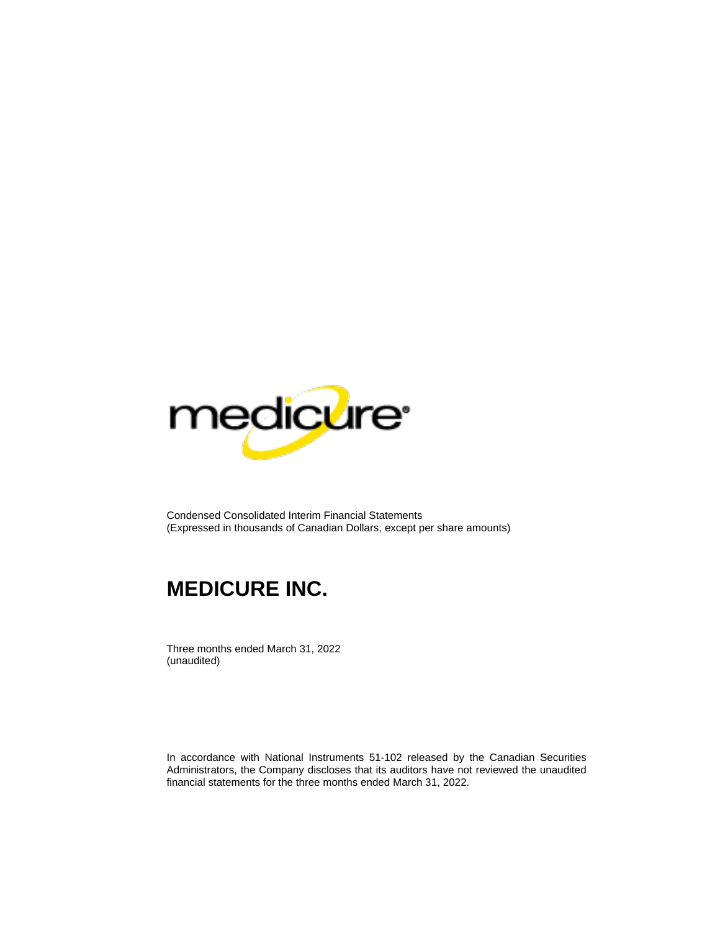

Condensed Consolidated Interim Financial Statements (Expressed in thousands of Canadian Dollars, except per share amounts)

# **MEDICURE INC.**

Three months ended March 31, 2022 (unaudited)

In accordance with National Instruments 51-102 released by the Canadian Securities Administrators, the Company discloses that its auditors have not reviewed the unaudited financial statements for the three months ended March 31, 2022.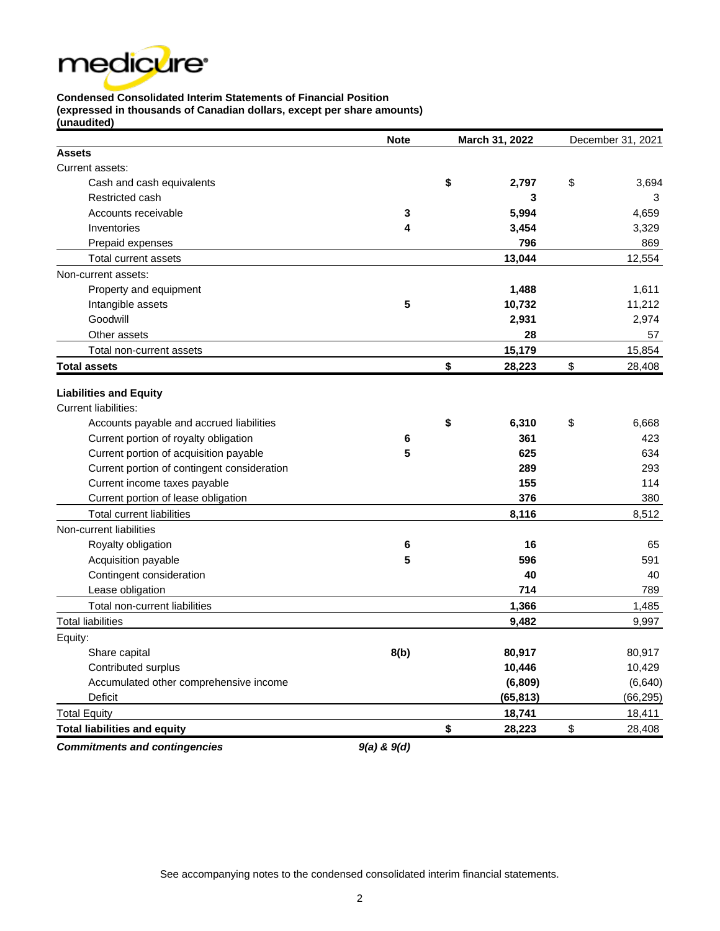

## **Condensed Consolidated Interim Statements of Financial Position**

**(expressed in thousands of Canadian dollars, except per share amounts) (unaudited)**

|                                             | <b>Note</b> | March 31, 2022 | December 31, 2021 |
|---------------------------------------------|-------------|----------------|-------------------|
| <b>Assets</b>                               |             |                |                   |
| Current assets:                             |             |                |                   |
| Cash and cash equivalents                   |             | \$<br>2,797    | \$<br>3,694       |
| Restricted cash                             |             | 3              | 3                 |
| Accounts receivable                         | 3           | 5,994          | 4,659             |
| Inventories                                 | 4           | 3,454          | 3,329             |
| Prepaid expenses                            |             | 796            | 869               |
| Total current assets                        |             | 13,044         | 12,554            |
| Non-current assets:                         |             |                |                   |
| Property and equipment                      |             | 1,488          | 1,611             |
| Intangible assets                           | 5           | 10,732         | 11,212            |
| Goodwill                                    |             | 2,931          | 2,974             |
| Other assets                                |             | 28             | 57                |
| Total non-current assets                    |             | 15,179         | 15,854            |
| <b>Total assets</b>                         |             | \$<br>28,223   | \$<br>28,408      |
| <b>Liabilities and Equity</b>               |             |                |                   |
| <b>Current liabilities:</b>                 |             |                |                   |
| Accounts payable and accrued liabilities    |             | \$<br>6,310    | \$<br>6,668       |
| Current portion of royalty obligation       | 6           | 361            | 423               |
| Current portion of acquisition payable      | 5           | 625            | 634               |
| Current portion of contingent consideration |             | 289            | 293               |
| Current income taxes payable                |             | 155            | 114               |
| Current portion of lease obligation         |             | 376            | 380               |
| <b>Total current liabilities</b>            |             | 8,116          | 8,512             |
| Non-current liabilities                     |             |                |                   |
| Royalty obligation                          | 6           | 16             | 65                |
| Acquisition payable                         | 5           | 596            | 591               |
| Contingent consideration                    |             | 40             | 40                |
| Lease obligation                            |             | 714            | 789               |
| Total non-current liabilities               |             | 1,366          | 1,485             |
| <b>Total liabilities</b>                    |             | 9,482          | 9,997             |
| Equity:                                     |             |                |                   |
| Share capital                               | 8(b)        | 80,917         | 80,917            |
| Contributed surplus                         |             | 10,446         | 10,429            |
| Accumulated other comprehensive income      |             | (6,809)        | (6, 640)          |
| Deficit                                     |             | (65, 813)      | (66, 295)         |
| <b>Total Equity</b>                         |             | 18,741         | 18,411            |
| <b>Total liabilities and equity</b>         |             | \$<br>28,223   | \$<br>28,408      |
|                                             |             |                |                   |

*Commitments and contingencies 9(a) & 9(d)*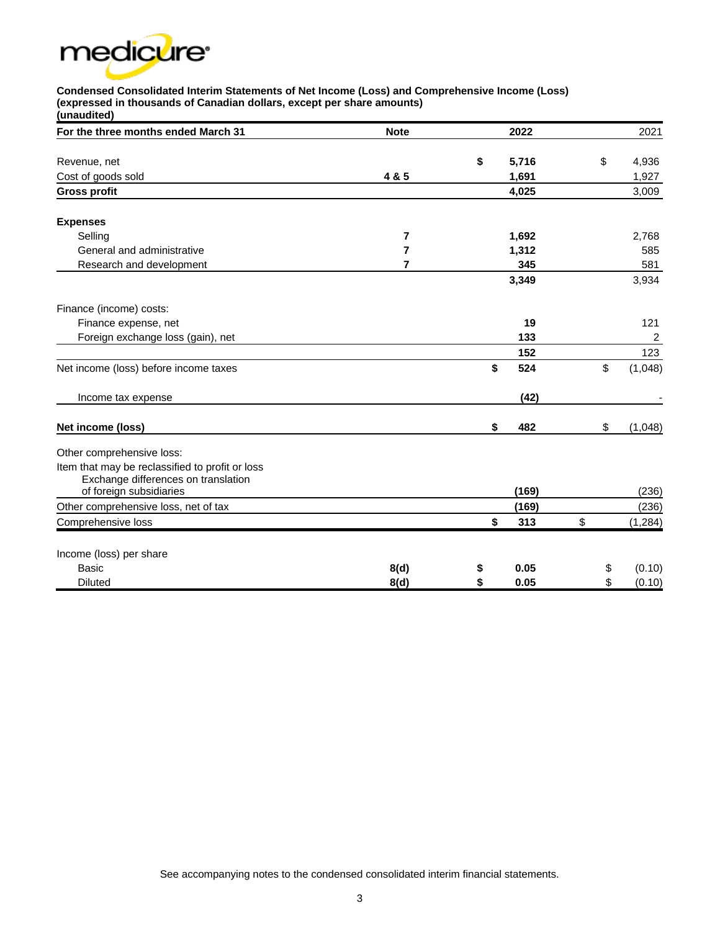

### **Condensed Consolidated Interim Statements of Net Income (Loss) and Comprehensive Income (Loss) (expressed in thousands of Canadian dollars, except per share amounts)**

| (unaudited)                                     |                |             |               |
|-------------------------------------------------|----------------|-------------|---------------|
| For the three months ended March 31             | <b>Note</b>    | 2022        | 2021          |
| Revenue, net                                    |                | \$<br>5,716 | \$<br>4,936   |
| Cost of goods sold                              | 4 & 5          | 1,691       | 1,927         |
| <b>Gross profit</b>                             |                | 4,025       | 3,009         |
|                                                 |                |             |               |
| <b>Expenses</b>                                 |                |             |               |
| Selling                                         | 7              | 1,692       | 2,768         |
| General and administrative                      | $\overline{7}$ | 1,312       | 585           |
| Research and development                        | 7              | 345         | 581           |
|                                                 |                | 3,349       | 3,934         |
| Finance (income) costs:                         |                |             |               |
| Finance expense, net                            |                | 19          | 121           |
| Foreign exchange loss (gain), net               |                | 133         | 2             |
|                                                 |                | 152         | 123           |
| Net income (loss) before income taxes           |                | \$<br>524   | \$<br>(1,048) |
| Income tax expense                              |                | (42)        |               |
| Net income (loss)                               |                | \$<br>482   | \$<br>(1,048) |
| Other comprehensive loss:                       |                |             |               |
| Item that may be reclassified to profit or loss |                |             |               |
| Exchange differences on translation             |                |             |               |
| of foreign subsidiaries                         |                | (169)       | (236)         |
| Other comprehensive loss, net of tax            |                | (169)       | (236)         |
| Comprehensive loss                              |                | \$<br>313   | \$<br>(1,284) |
| Income (loss) per share                         |                |             |               |
| <b>Basic</b>                                    | 8(d)           | \$<br>0.05  | \$<br>(0.10)  |
| <b>Diluted</b>                                  | 8(d)           | \$<br>0.05  | \$<br>(0.10)  |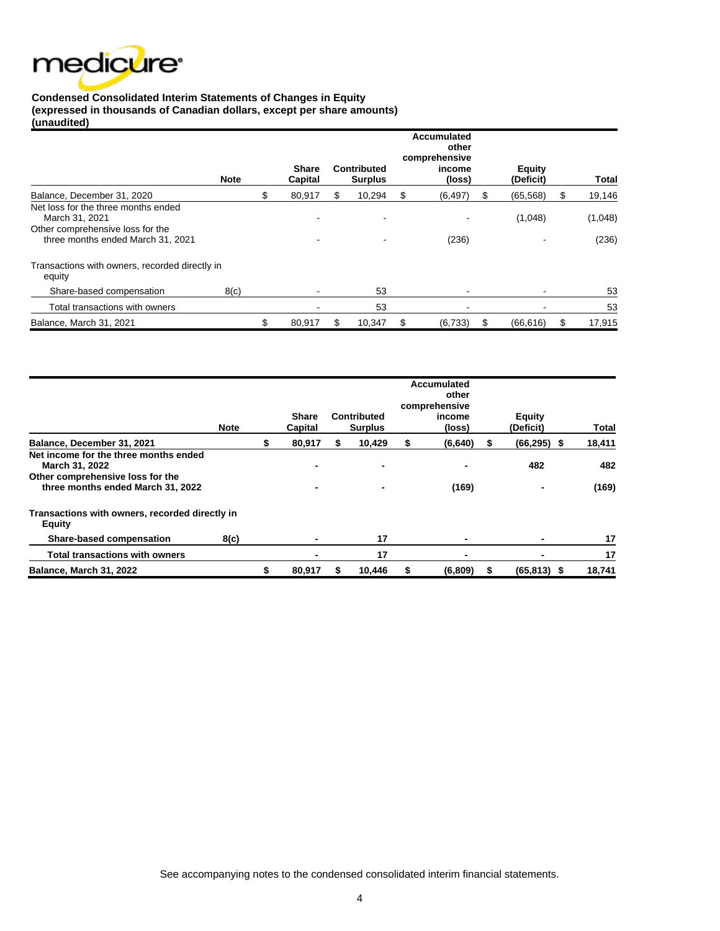

#### **Condensed Consolidated Interim Statements of Changes in Equity (expressed in thousands of Canadian dollars, except per share amounts) (unaudited)**

|                                                                                                                                | <b>Note</b> | <b>Share</b><br>Capital |    | Contributed<br><b>Surplus</b> | <b>Accumulated</b><br>other<br>comprehensive<br>income<br>(loss) | <b>Equity</b><br>(Deficit) | Total            |
|--------------------------------------------------------------------------------------------------------------------------------|-------------|-------------------------|----|-------------------------------|------------------------------------------------------------------|----------------------------|------------------|
| Balance, December 31, 2020                                                                                                     |             | 80,917                  | æ. | 10,294                        | \$<br>(6, 497)                                                   | (65, 568)                  | \$<br>19,146     |
| Net loss for the three months ended<br>March 31, 2021<br>Other comprehensive loss for the<br>three months ended March 31, 2021 |             |                         |    |                               | (236)                                                            | (1,048)                    | (1,048)<br>(236) |
| Transactions with owners, recorded directly in<br>equity                                                                       |             |                         |    |                               |                                                                  |                            |                  |
| Share-based compensation                                                                                                       | 8(c)        |                         |    | 53                            |                                                                  |                            | 53               |
| Total transactions with owners                                                                                                 |             |                         |    | 53                            |                                                                  |                            | 53               |
| Balance, March 31, 2021                                                                                                        |             | \$<br>80,917            | \$ | 10,347                        | \$<br>(6, 733)                                                   | \$<br>(66, 616)            | \$<br>17,915     |

|                                                                                                                                  | <b>Note</b> | <b>Share</b><br>Capital          |   | Contributed<br><b>Surplus</b> |    | Accumulated<br>other<br>comprehensive<br>income<br>(loss) |   | <b>Equity</b><br>(Deficit) | Total        |
|----------------------------------------------------------------------------------------------------------------------------------|-------------|----------------------------------|---|-------------------------------|----|-----------------------------------------------------------|---|----------------------------|--------------|
| Balance, December 31, 2021                                                                                                       |             | 80,917                           | S | 10,429                        | \$ | (6, 640)                                                  | S | $(66, 295)$ \$             | 18,411       |
| Net income for the three months ended<br>March 31, 2022<br>Other comprehensive loss for the<br>three months ended March 31, 2022 |             | $\blacksquare$<br>$\blacksquare$ |   |                               |    | (169)                                                     |   | 482                        | 482<br>(169) |
| Transactions with owners, recorded directly in<br>Equity                                                                         |             |                                  |   |                               |    |                                                           |   |                            |              |
| Share-based compensation                                                                                                         | 8(c)        | $\blacksquare$                   |   | 17                            |    | $\blacksquare$                                            |   |                            | 17           |
| <b>Total transactions with owners</b>                                                                                            |             |                                  |   | 17                            |    | $\blacksquare$                                            |   |                            | 17           |
| Balance, March 31, 2022                                                                                                          |             | 80,917                           |   | 10,446                        | 5  | (6,809)                                                   | S | $(65, 813)$ \$             | 18,741       |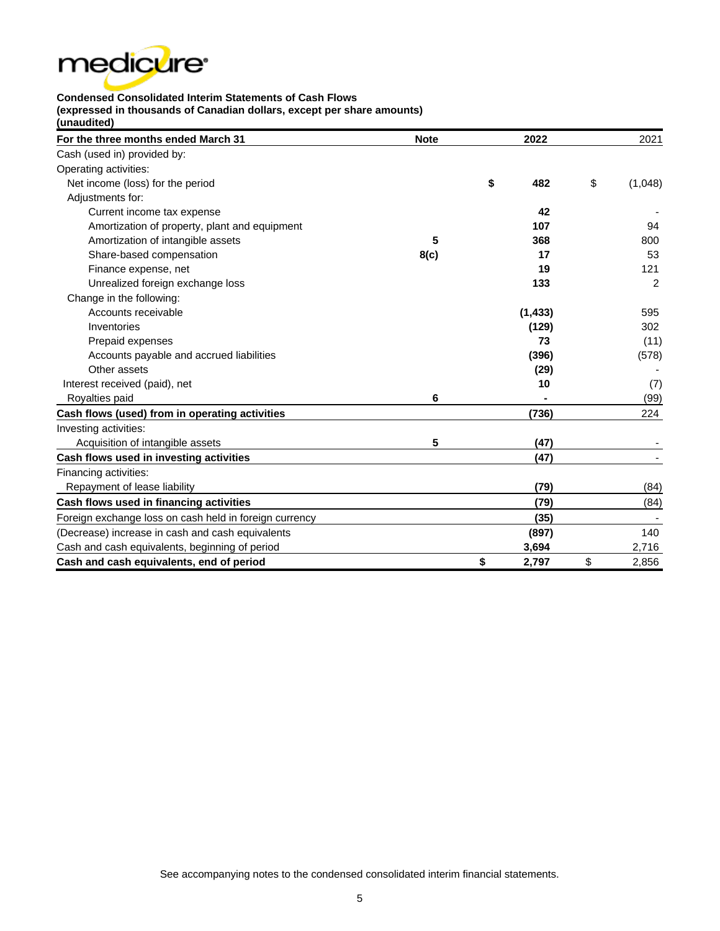

**Condensed Consolidated Interim Statements of Cash Flows (expressed in thousands of Canadian dollars, except per share amounts)**

**(unaudited)**

| For the three months ended March 31                    | <b>Note</b> | 2022        | 2021          |
|--------------------------------------------------------|-------------|-------------|---------------|
| Cash (used in) provided by:                            |             |             |               |
| Operating activities:                                  |             |             |               |
| Net income (loss) for the period                       |             | \$<br>482   | \$<br>(1,048) |
| Adjustments for:                                       |             |             |               |
| Current income tax expense                             |             | 42          |               |
| Amortization of property, plant and equipment          |             | 107         | 94            |
| Amortization of intangible assets                      | 5           | 368         | 800           |
| Share-based compensation                               | 8(c)        | 17          | 53            |
| Finance expense, net                                   |             | 19          | 121           |
| Unrealized foreign exchange loss                       |             | 133         | 2             |
| Change in the following:                               |             |             |               |
| Accounts receivable                                    |             | (1, 433)    | 595           |
| Inventories                                            |             | (129)       | 302           |
| Prepaid expenses                                       |             | 73          | (11)          |
| Accounts payable and accrued liabilities               |             | (396)       | (578)         |
| Other assets                                           |             | (29)        |               |
| Interest received (paid), net                          |             | 10          | (7)           |
| Royalties paid                                         | 6           |             | (99)          |
| Cash flows (used) from in operating activities         |             | (736)       | 224           |
| Investing activities:                                  |             |             |               |
| Acquisition of intangible assets                       | 5           | (47)        |               |
| Cash flows used in investing activities                |             | (47)        |               |
| Financing activities:                                  |             |             |               |
| Repayment of lease liability                           |             | (79)        | (84)          |
| Cash flows used in financing activities                |             | (79)        | (84)          |
| Foreign exchange loss on cash held in foreign currency |             | (35)        |               |
| (Decrease) increase in cash and cash equivalents       |             | (897)       | 140           |
| Cash and cash equivalents, beginning of period         |             | 3,694       | 2,716         |
| Cash and cash equivalents, end of period               |             | \$<br>2,797 | \$<br>2,856   |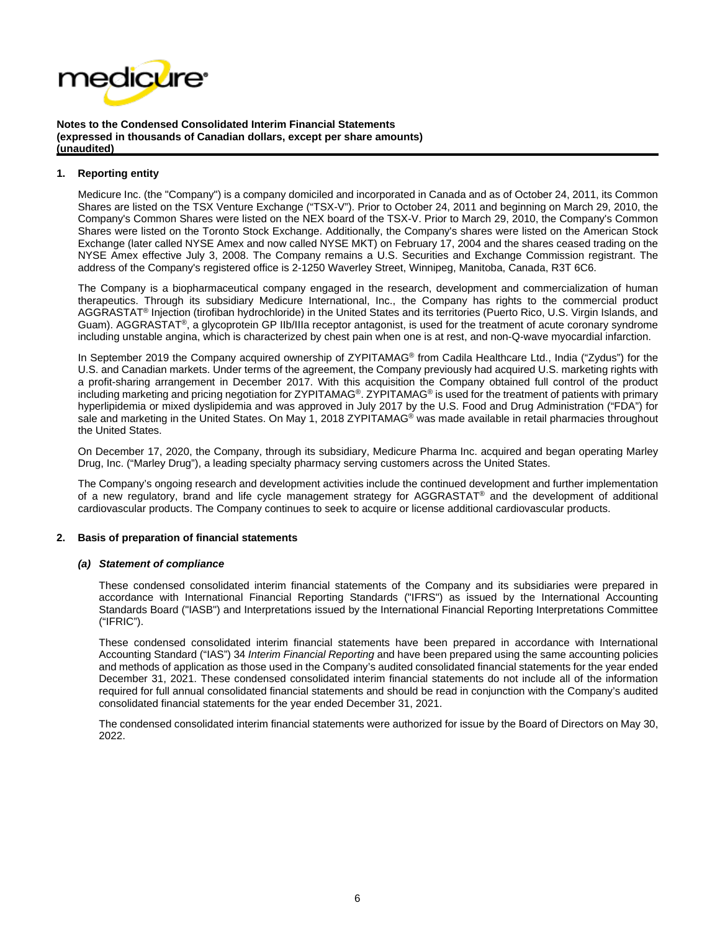

#### **1. Reporting entity**

Medicure Inc. (the "Company") is a company domiciled and incorporated in Canada and as of October 24, 2011, its Common Shares are listed on the TSX Venture Exchange ("TSX-V"). Prior to October 24, 2011 and beginning on March 29, 2010, the Company's Common Shares were listed on the NEX board of the TSX-V. Prior to March 29, 2010, the Company's Common Shares were listed on the Toronto Stock Exchange. Additionally, the Company's shares were listed on the American Stock Exchange (later called NYSE Amex and now called NYSE MKT) on February 17, 2004 and the shares ceased trading on the NYSE Amex effective July 3, 2008. The Company remains a U.S. Securities and Exchange Commission registrant. The address of the Company's registered office is 2-1250 Waverley Street, Winnipeg, Manitoba, Canada, R3T 6C6.

The Company is a biopharmaceutical company engaged in the research, development and commercialization of human therapeutics. Through its subsidiary Medicure International, Inc., the Company has rights to the commercial product AGGRASTAT® Injection (tirofiban hydrochloride) in the United States and its territories (Puerto Rico, U.S. Virgin Islands, and Guam). AGGRASTAT®, a glycoprotein GP IIb/IIIa receptor antagonist, is used for the treatment of acute coronary syndrome including unstable angina, which is characterized by chest pain when one is at rest, and non-Q-wave myocardial infarction.

In September 2019 the Company acquired ownership of ZYPITAMAG® from Cadila Healthcare Ltd., India ("Zydus") for the U.S. and Canadian markets. Under terms of the agreement, the Company previously had acquired U.S. marketing rights with a profit-sharing arrangement in December 2017. With this acquisition the Company obtained full control of the product including marketing and pricing negotiation for ZYPITAMAG<sup>®</sup>. ZYPITAMAG<sup>®</sup> is used for the treatment of patients with primary hyperlipidemia or mixed dyslipidemia and was approved in July 2017 by the U.S. Food and Drug Administration ("FDA") for sale and marketing in the United States. On May 1, 2018 ZYPITAMAG<sup>®</sup> was made available in retail pharmacies throughout the United States.

On December 17, 2020, the Company, through its subsidiary, Medicure Pharma Inc. acquired and began operating Marley Drug, Inc. ("Marley Drug"), a leading specialty pharmacy serving customers across the United States.

The Company's ongoing research and development activities include the continued development and further implementation of a new regulatory, brand and life cycle management strategy for AGGRASTAT® and the development of additional cardiovascular products. The Company continues to seek to acquire or license additional cardiovascular products.

#### **2. Basis of preparation of financial statements**

#### *(a) Statement of compliance*

These condensed consolidated interim financial statements of the Company and its subsidiaries were prepared in accordance with International Financial Reporting Standards ("IFRS") as issued by the International Accounting Standards Board ("IASB") and Interpretations issued by the International Financial Reporting Interpretations Committee ("IFRIC").

These condensed consolidated interim financial statements have been prepared in accordance with International Accounting Standard ("IAS") 34 *Interim Financial Reporting* and have been prepared using the same accounting policies and methods of application as those used in the Company's audited consolidated financial statements for the year ended December 31, 2021. These condensed consolidated interim financial statements do not include all of the information required for full annual consolidated financial statements and should be read in conjunction with the Company's audited consolidated financial statements for the year ended December 31, 2021.

The condensed consolidated interim financial statements were authorized for issue by the Board of Directors on May 30, 2022.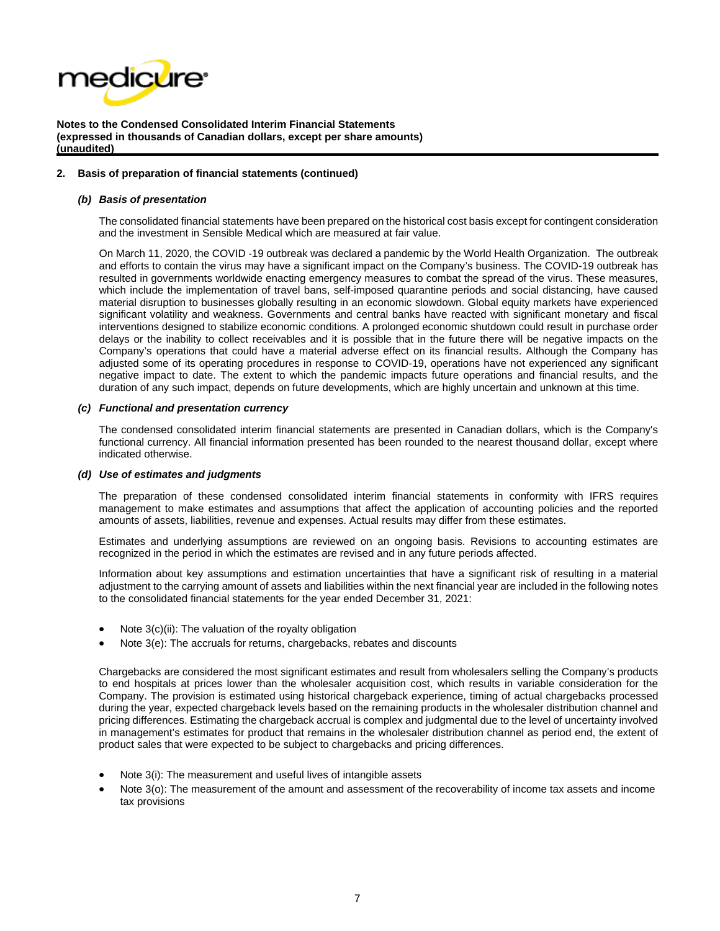

#### **2. Basis of preparation of financial statements (continued)**

#### *(b) Basis of presentation*

The consolidated financial statements have been prepared on the historical cost basis except for contingent consideration and the investment in Sensible Medical which are measured at fair value.

On March 11, 2020, the COVID -19 outbreak was declared a pandemic by the World Health Organization. The outbreak and efforts to contain the virus may have a significant impact on the Company's business. The COVID-19 outbreak has resulted in governments worldwide enacting emergency measures to combat the spread of the virus. These measures, which include the implementation of travel bans, self-imposed quarantine periods and social distancing, have caused material disruption to businesses globally resulting in an economic slowdown. Global equity markets have experienced significant volatility and weakness. Governments and central banks have reacted with significant monetary and fiscal interventions designed to stabilize economic conditions. A prolonged economic shutdown could result in purchase order delays or the inability to collect receivables and it is possible that in the future there will be negative impacts on the Company's operations that could have a material adverse effect on its financial results. Although the Company has adjusted some of its operating procedures in response to COVID-19, operations have not experienced any significant negative impact to date. The extent to which the pandemic impacts future operations and financial results, and the duration of any such impact, depends on future developments, which are highly uncertain and unknown at this time.

#### *(c) Functional and presentation currency*

The condensed consolidated interim financial statements are presented in Canadian dollars, which is the Company's functional currency. All financial information presented has been rounded to the nearest thousand dollar, except where indicated otherwise.

#### *(d) Use of estimates and judgments*

The preparation of these condensed consolidated interim financial statements in conformity with IFRS requires management to make estimates and assumptions that affect the application of accounting policies and the reported amounts of assets, liabilities, revenue and expenses. Actual results may differ from these estimates.

Estimates and underlying assumptions are reviewed on an ongoing basis. Revisions to accounting estimates are recognized in the period in which the estimates are revised and in any future periods affected.

Information about key assumptions and estimation uncertainties that have a significant risk of resulting in a material adjustment to the carrying amount of assets and liabilities within the next financial year are included in the following notes to the consolidated financial statements for the year ended December 31, 2021:

- Note 3(c)(ii): The valuation of the royalty obligation
- Note 3(e): The accruals for returns, chargebacks, rebates and discounts

Chargebacks are considered the most significant estimates and result from wholesalers selling the Company's products to end hospitals at prices lower than the wholesaler acquisition cost, which results in variable consideration for the Company. The provision is estimated using historical chargeback experience, timing of actual chargebacks processed during the year, expected chargeback levels based on the remaining products in the wholesaler distribution channel and pricing differences. Estimating the chargeback accrual is complex and judgmental due to the level of uncertainty involved in management's estimates for product that remains in the wholesaler distribution channel as period end, the extent of product sales that were expected to be subject to chargebacks and pricing differences.

- Note 3(i): The measurement and useful lives of intangible assets
- Note 3(o): The measurement of the amount and assessment of the recoverability of income tax assets and income tax provisions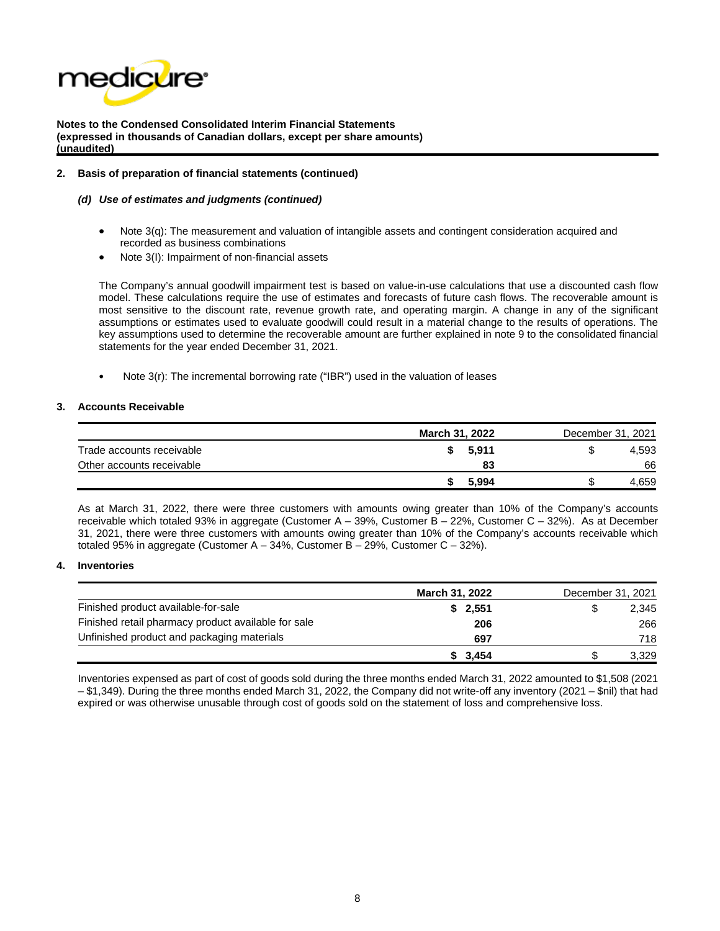

#### **2. Basis of preparation of financial statements (continued)**

#### *(d) Use of estimates and judgments (continued)*

- Note 3(q): The measurement and valuation of intangible assets and contingent consideration acquired and recorded as business combinations
- Note 3(I): Impairment of non-financial assets

The Company's annual goodwill impairment test is based on value-in-use calculations that use a discounted cash flow model. These calculations require the use of estimates and forecasts of future cash flows. The recoverable amount is most sensitive to the discount rate, revenue growth rate, and operating margin. A change in any of the significant assumptions or estimates used to evaluate goodwill could result in a material change to the results of operations. The key assumptions used to determine the recoverable amount are further explained in note 9 to the consolidated financial statements for the year ended December 31, 2021.

Note 3(r): The incremental borrowing rate ("IBR") used in the valuation of leases

#### **3. Accounts Receivable**

|                           | March 31, 2022 |     | December 31, 2021 |  |  |  |
|---------------------------|----------------|-----|-------------------|--|--|--|
| Trade accounts receivable | 5.911          | \$. | 4,593             |  |  |  |
| Other accounts receivable | 83             |     | 66                |  |  |  |
|                           | 5.994          |     | .659              |  |  |  |

As at March 31, 2022, there were three customers with amounts owing greater than 10% of the Company's accounts receivable which totaled 93% in aggregate (Customer A – 39%, Customer B – 22%, Customer C – 32%). As at December 31, 2021, there were three customers with amounts owing greater than 10% of the Company's accounts receivable which totaled 95% in aggregate (Customer A – 34%, Customer B – 29%, Customer C – 32%).

#### **4. Inventories**

|                                                     | March 31, 2022 | December 31, 2021 |       |  |
|-----------------------------------------------------|----------------|-------------------|-------|--|
| Finished product available-for-sale                 | \$2,551        | S                 | 2.345 |  |
| Finished retail pharmacy product available for sale | 206            |                   | 266   |  |
| Unfinished product and packaging materials          | 697            |                   | 718   |  |
|                                                     | 3.454          |                   | 3.329 |  |

Inventories expensed as part of cost of goods sold during the three months ended March 31, 2022 amounted to \$1,508 (2021 – \$1,349). During the three months ended March 31, 2022, the Company did not write-off any inventory (2021 – \$nil) that had expired or was otherwise unusable through cost of goods sold on the statement of loss and comprehensive loss.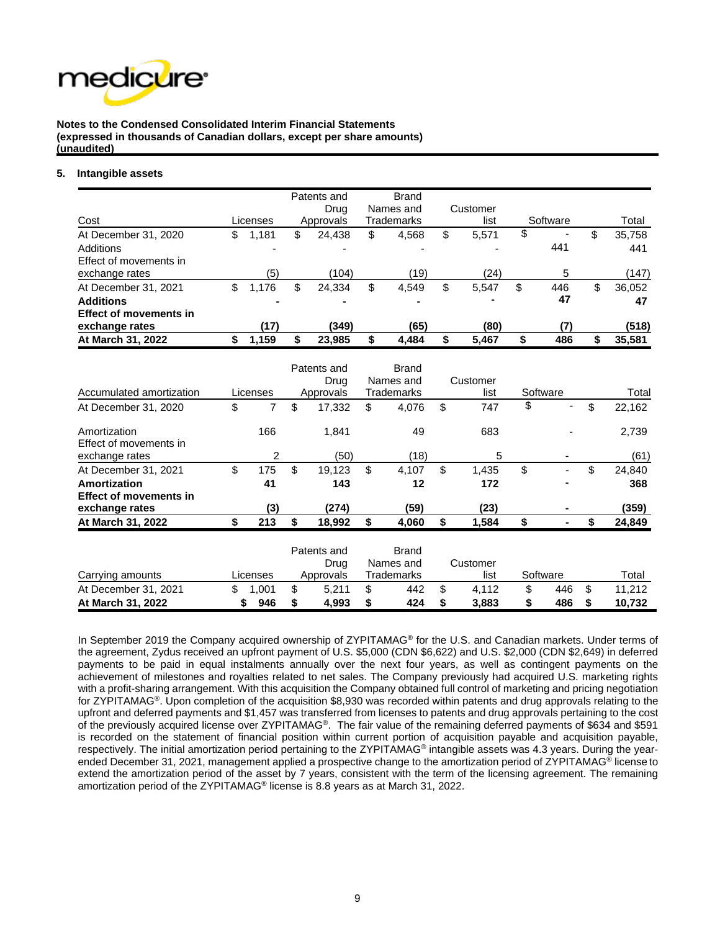

#### **5. Intangible assets**

| Cost                                                                                        | Licenses                                        | Patents and<br>Drua<br>Approvals                  | <b>Brand</b><br>Names and<br>Trademarks | Customer<br>list         | Software                         | Total                        |
|---------------------------------------------------------------------------------------------|-------------------------------------------------|---------------------------------------------------|-----------------------------------------|--------------------------|----------------------------------|------------------------------|
| At December 31, 2020<br>Additions<br>Effect of movements in<br>exchange rates               | \$<br>1,181<br>(5)                              | \$<br>24,438<br>(104)                             | \$<br>4,568<br>(19)                     | \$<br>5,571<br>٠<br>(24) | \$<br>$\blacksquare$<br>441<br>5 | \$<br>35,758<br>441<br>(147) |
| At December 31, 2021<br><b>Additions</b><br><b>Effect of movements in</b><br>exchange rates | \$<br>1.176<br>$\overline{\phantom{0}}$<br>(17) | \$<br>24,334<br>$\overline{\phantom{0}}$<br>(349) | \$<br>4,549<br>$\blacksquare$<br>(65)   | \$<br>5,547<br>(80)      | \$<br>446<br>47                  | \$<br>36,052<br>47<br>(518)  |
| At March 31, 2022                                                                           | 1,159                                           | 23,985                                            | 4,484                                   | 5,467                    | \$<br>486                        | 35,581                       |

|                                        |             | Patents and  | <b>Brand</b>      |    |          |           |              |
|----------------------------------------|-------------|--------------|-------------------|----|----------|-----------|--------------|
|                                        |             | Drug         | Names and         |    | Customer |           |              |
| Accumulated amortization               | Licenses    | Approvals    | Trademarks        |    | list     | Software  | Total        |
| At December 31, 2020                   | \$<br>7     | \$<br>17,332 | \$<br>4,076       | \$ | 747      | \$        | \$<br>22,162 |
| Amortization<br>Effect of movements in | 166         | 1,841        | 49                |    | 683      |           | 2,739        |
| exchange rates                         | 2           | (50)         | (18)              |    | 5        | ۰         | (61)         |
| At December 31, 2021                   | \$<br>175   | \$<br>19,123 | \$<br>4,107       | \$ | 1,435    | \$<br>۰   | \$<br>24,840 |
| Amortization                           | 41          | 143          | 12                |    | 172      | -         | 368          |
| <b>Effect of movements in</b>          |             |              |                   |    |          |           |              |
| exchange rates                         | (3)         | (274)        | (59)              |    | (23)     | ۰         | (359)        |
| At March 31, 2022                      | \$<br>213   | \$<br>18,992 | \$<br>4,060       | \$ | 1,584    | \$        | \$<br>24,849 |
|                                        |             | Patents and  | <b>Brand</b>      |    |          |           |              |
|                                        |             | Drug         | Names and         |    | Customer |           |              |
| Carrying amounts                       | Licenses    | Approvals    | <b>Trademarks</b> |    | list     | Software  | Total        |
| At December 31, 2021                   | \$<br>1,001 | \$<br>5,211  | \$<br>442         | \$ | 4,112    | \$<br>446 | \$<br>11,212 |
| At March 31, 2022                      | \$<br>946   | \$<br>4,993  | \$<br>424         | S  | 3,883    | \$<br>486 | 10,732       |

In September 2019 the Company acquired ownership of ZYPITAMAG<sup>®</sup> for the U.S. and Canadian markets. Under terms of the agreement, Zydus received an upfront payment of U.S. \$5,000 (CDN \$6,622) and U.S. \$2,000 (CDN \$2,649) in deferred payments to be paid in equal instalments annually over the next four years, as well as contingent payments on the achievement of milestones and royalties related to net sales. The Company previously had acquired U.S. marketing rights with a profit-sharing arrangement. With this acquisition the Company obtained full control of marketing and pricing negotiation for ZYPITAMAG®. Upon completion of the acquisition \$8,930 was recorded within patents and drug approvals relating to the upfront and deferred payments and \$1,457 was transferred from licenses to patents and drug approvals pertaining to the cost of the previously acquired license over ZYPITAMAG®. The fair value of the remaining deferred payments of \$634 and \$591 is recorded on the statement of financial position within current portion of acquisition payable and acquisition payable, respectively. The initial amortization period pertaining to the ZYPITAMAG® intangible assets was 4.3 years. During the yearended December 31, 2021, management applied a prospective change to the amortization period of ZYPITAMAG® license to extend the amortization period of the asset by 7 years, consistent with the term of the licensing agreement. The remaining amortization period of the ZYPITAMAG® license is 8.8 years as at March 31, 2022.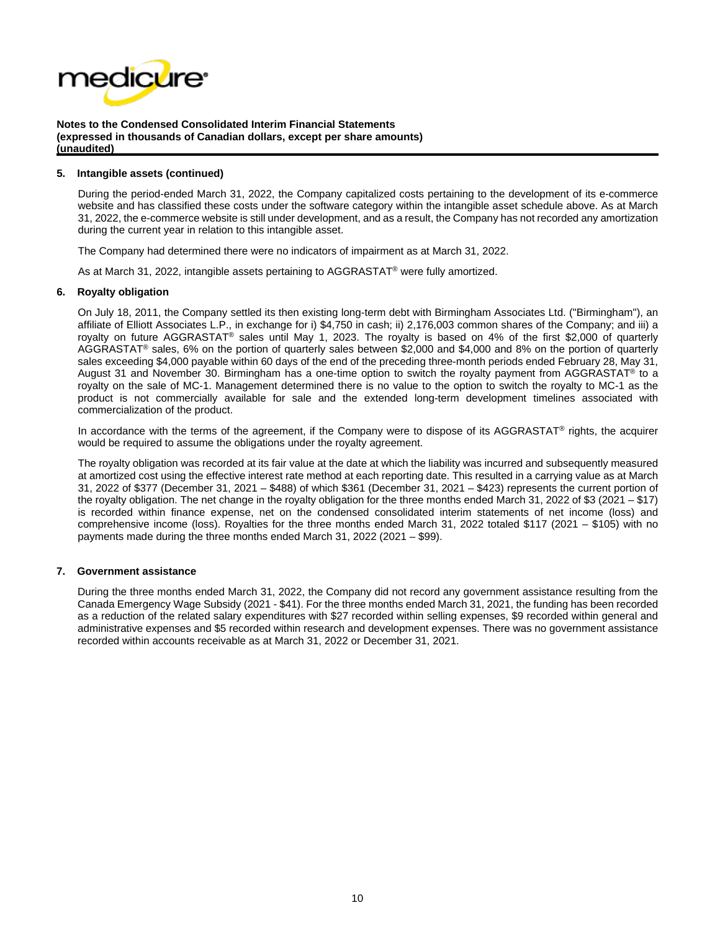

#### **5. Intangible assets (continued)**

During the period-ended March 31, 2022, the Company capitalized costs pertaining to the development of its e-commerce website and has classified these costs under the software category within the intangible asset schedule above. As at March 31, 2022, the e-commerce website is still under development, and as a result, the Company has not recorded any amortization during the current year in relation to this intangible asset.

The Company had determined there were no indicators of impairment as at March 31, 2022.

As at March 31, 2022, intangible assets pertaining to AGGRASTAT<sup>®</sup> were fully amortized.

#### **6. Royalty obligation**

On July 18, 2011, the Company settled its then existing long-term debt with Birmingham Associates Ltd. ("Birmingham"), an affiliate of Elliott Associates L.P., in exchange for i) \$4,750 in cash; ii) 2,176,003 common shares of the Company; and iii) a royalty on future AGGRASTAT® sales until May 1, 2023. The royalty is based on 4% of the first \$2,000 of quarterly AGGRASTAT® sales, 6% on the portion of quarterly sales between \$2,000 and \$4,000 and 8% on the portion of quarterly sales exceeding \$4,000 payable within 60 days of the end of the preceding three-month periods ended February 28, May 31, August 31 and November 30. Birmingham has a one-time option to switch the royalty payment from AGGRASTAT® to a royalty on the sale of MC-1. Management determined there is no value to the option to switch the royalty to MC-1 as the product is not commercially available for sale and the extended long-term development timelines associated with commercialization of the product.

In accordance with the terms of the agreement, if the Company were to dispose of its AGGRASTAT<sup>®</sup> rights, the acquirer would be required to assume the obligations under the royalty agreement.

The royalty obligation was recorded at its fair value at the date at which the liability was incurred and subsequently measured at amortized cost using the effective interest rate method at each reporting date. This resulted in a carrying value as at March 31, 2022 of \$377 (December 31, 2021 – \$488) of which \$361 (December 31, 2021 – \$423) represents the current portion of the royalty obligation. The net change in the royalty obligation for the three months ended March 31, 2022 of \$3 (2021 – \$17) is recorded within finance expense, net on the condensed consolidated interim statements of net income (loss) and comprehensive income (loss). Royalties for the three months ended March 31, 2022 totaled \$117 (2021 – \$105) with no payments made during the three months ended March 31, 2022 (2021 – \$99).

#### **7. Government assistance**

During the three months ended March 31, 2022, the Company did not record any government assistance resulting from the Canada Emergency Wage Subsidy (2021 - \$41). For the three months ended March 31, 2021, the funding has been recorded as a reduction of the related salary expenditures with \$27 recorded within selling expenses, \$9 recorded within general and administrative expenses and \$5 recorded within research and development expenses. There was no government assistance recorded within accounts receivable as at March 31, 2022 or December 31, 2021.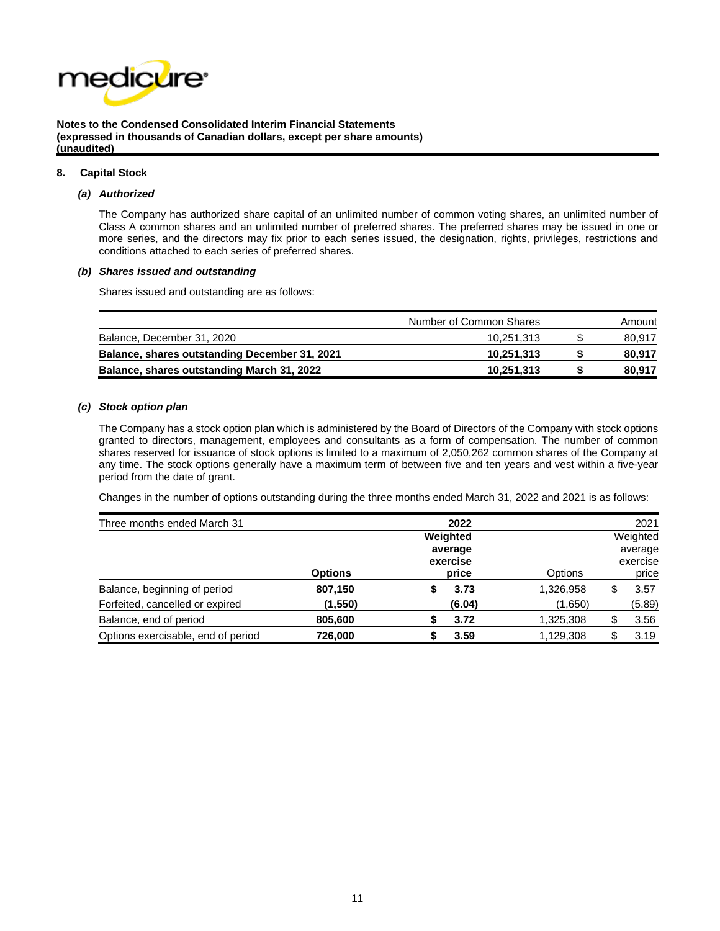

#### **8. Capital Stock**

#### *(a) Authorized*

The Company has authorized share capital of an unlimited number of common voting shares, an unlimited number of Class A common shares and an unlimited number of preferred shares. The preferred shares may be issued in one or more series, and the directors may fix prior to each series issued, the designation, rights, privileges, restrictions and conditions attached to each series of preferred shares.

#### *(b) Shares issued and outstanding*

Shares issued and outstanding are as follows:

|                                               | Number of Common Shares | Amount |
|-----------------------------------------------|-------------------------|--------|
| Balance, December 31, 2020                    | 10.251.313              | 80,917 |
| Balance, shares outstanding December 31, 2021 | 10.251.313              | 80.917 |
| Balance, shares outstanding March 31, 2022    | 10,251,313              | 80.917 |

#### *(c) Stock option plan*

The Company has a stock option plan which is administered by the Board of Directors of the Company with stock options granted to directors, management, employees and consultants as a form of compensation. The number of common shares reserved for issuance of stock options is limited to a maximum of 2,050,262 common shares of the Company at any time. The stock options generally have a maximum term of between five and ten years and vest within a five-year period from the date of grant.

Changes in the number of options outstanding during the three months ended March 31, 2022 and 2021 is as follows:

| Three months ended March 31        |                |                | 2022                         |           |  | 2021     |
|------------------------------------|----------------|----------------|------------------------------|-----------|--|----------|
|                                    |                | Weighted       |                              |           |  | Weighted |
|                                    | <b>Options</b> | <b>Options</b> | average<br>exercise<br>price |           |  |          |
| Balance, beginning of period       | 807,150        |                | price<br>3.73                | 1,326,958 |  | 3.57     |
| Forfeited, cancelled or expired    | (1,550)        |                | (6.04)                       | (1,650)   |  | (5.89)   |
| Balance, end of period             | 805,600        |                | 3.72                         | 1,325,308 |  | 3.56     |
| Options exercisable, end of period | 726,000        |                | 3.59                         | 1,129,308 |  | 3.19     |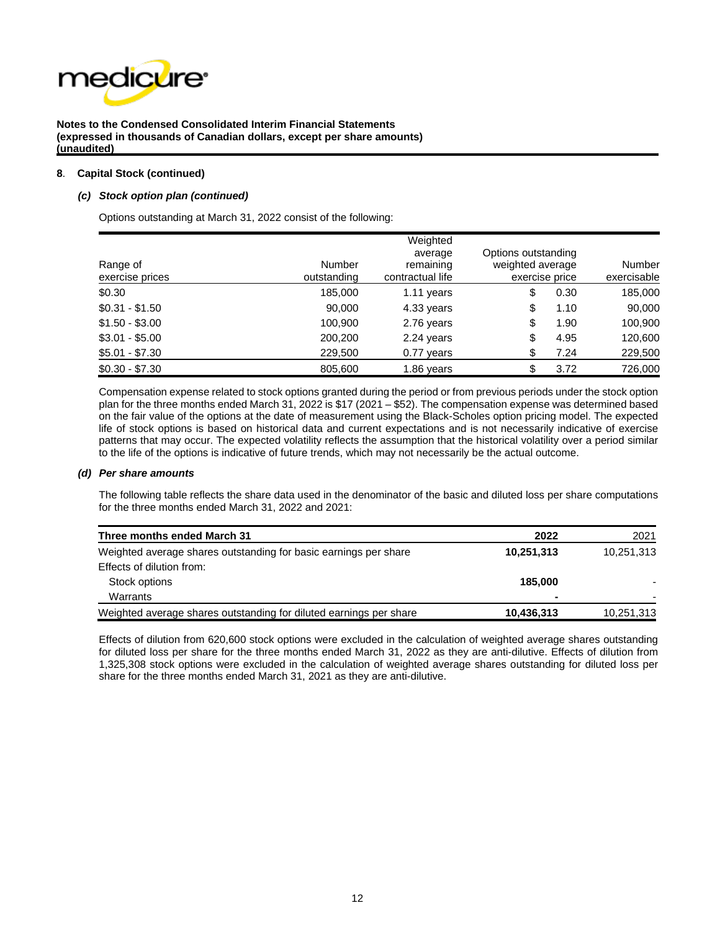

#### **8**. **Capital Stock (continued)**

#### *(c) Stock option plan (continued)*

Options outstanding at March 31, 2022 consist of the following:

| Range of<br>exercise prices | <b>Number</b><br>outstanding | Weighted<br>average<br>remaining<br>contractual life | Options outstanding<br>weighted average<br>exercise price | <b>Number</b><br>exercisable |  |  |
|-----------------------------|------------------------------|------------------------------------------------------|-----------------------------------------------------------|------------------------------|--|--|
| \$0.30                      | 185,000                      | 1.11 years                                           | \$<br>0.30                                                | 185,000                      |  |  |
| $$0.31 - $1.50$             | 90,000                       | 4.33 years                                           | \$<br>1.10                                                | 90,000                       |  |  |
| $$1.50 - $3.00$             | 100,900                      | 2.76 years                                           | \$<br>1.90                                                | 100,900                      |  |  |
| $$3.01 - $5.00$             | 200,200                      | 2.24 years                                           | \$<br>4.95                                                | 120,600                      |  |  |
| $$5.01 - $7.30$             | 229,500                      | $0.77$ years                                         | \$<br>7.24                                                | 229,500                      |  |  |
| $$0.30 - $7.30$             | 805,600                      | 1.86 years                                           | 3.72<br>\$                                                | 726,000                      |  |  |

Compensation expense related to stock options granted during the period or from previous periods under the stock option plan for the three months ended March 31, 2022 is \$17 (2021 – \$52). The compensation expense was determined based on the fair value of the options at the date of measurement using the Black-Scholes option pricing model. The expected life of stock options is based on historical data and current expectations and is not necessarily indicative of exercise patterns that may occur. The expected volatility reflects the assumption that the historical volatility over a period similar to the life of the options is indicative of future trends, which may not necessarily be the actual outcome.

#### *(d) Per share amounts*

The following table reflects the share data used in the denominator of the basic and diluted loss per share computations for the three months ended March 31, 2022 and 2021:

| Three months ended March 31                                        | 2022       | 2021       |
|--------------------------------------------------------------------|------------|------------|
| Weighted average shares outstanding for basic earnings per share   | 10,251,313 | 10,251,313 |
| Effects of dilution from:                                          |            |            |
| Stock options                                                      | 185.000    |            |
| Warrants                                                           |            |            |
| Weighted average shares outstanding for diluted earnings per share | 10,436,313 | 10,251,313 |

Effects of dilution from 620,600 stock options were excluded in the calculation of weighted average shares outstanding for diluted loss per share for the three months ended March 31, 2022 as they are anti-dilutive. Effects of dilution from 1,325,308 stock options were excluded in the calculation of weighted average shares outstanding for diluted loss per share for the three months ended March 31, 2021 as they are anti-dilutive.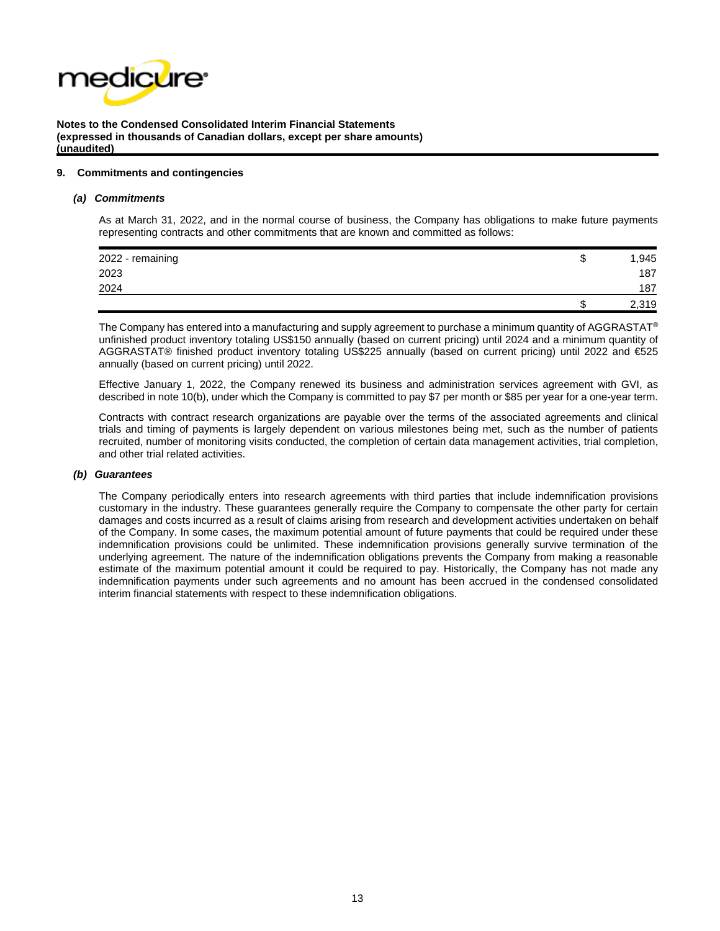

#### **9. Commitments and contingencies**

#### *(a) Commitments*

As at March 31, 2022, and in the normal course of business, the Company has obligations to make future payments representing contracts and other commitments that are known and committed as follows:

| 2022 - remaining | w | 1,945 |
|------------------|---|-------|
| 2023             |   | 187   |
| 2024             |   | 187   |
|                  |   | 2,319 |

The Company has entered into a manufacturing and supply agreement to purchase a minimum quantity of AGGRASTAT® unfinished product inventory totaling US\$150 annually (based on current pricing) until 2024 and a minimum quantity of AGGRASTAT® finished product inventory totaling US\$225 annually (based on current pricing) until 2022 and €525 annually (based on current pricing) until 2022.

Effective January 1, 2022, the Company renewed its business and administration services agreement with GVI, as described in note 10(b), under which the Company is committed to pay \$7 per month or \$85 per year for a one-year term.

Contracts with contract research organizations are payable over the terms of the associated agreements and clinical trials and timing of payments is largely dependent on various milestones being met, such as the number of patients recruited, number of monitoring visits conducted, the completion of certain data management activities, trial completion, and other trial related activities.

#### *(b) Guarantees*

The Company periodically enters into research agreements with third parties that include indemnification provisions customary in the industry. These guarantees generally require the Company to compensate the other party for certain damages and costs incurred as a result of claims arising from research and development activities undertaken on behalf of the Company. In some cases, the maximum potential amount of future payments that could be required under these indemnification provisions could be unlimited. These indemnification provisions generally survive termination of the underlying agreement. The nature of the indemnification obligations prevents the Company from making a reasonable estimate of the maximum potential amount it could be required to pay. Historically, the Company has not made any indemnification payments under such agreements and no amount has been accrued in the condensed consolidated interim financial statements with respect to these indemnification obligations.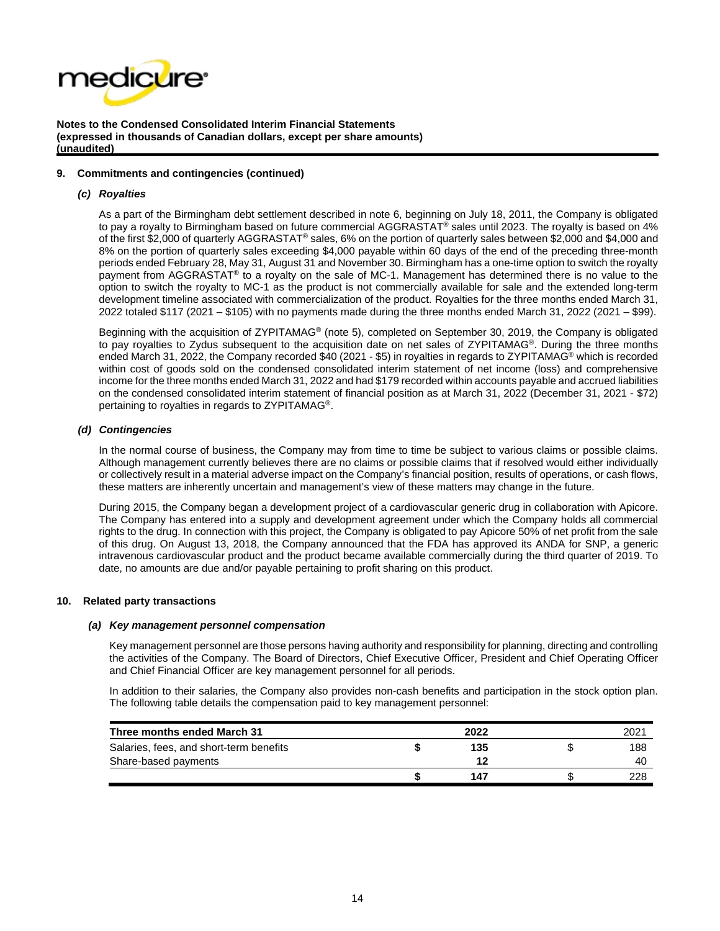

#### **9. Commitments and contingencies (continued)**

#### *(c) Royalties*

As a part of the Birmingham debt settlement described in note 6, beginning on July 18, 2011, the Company is obligated to pay a royalty to Birmingham based on future commercial AGGRASTAT® sales until 2023. The royalty is based on 4% of the first \$2,000 of quarterly AGGRASTAT® sales, 6% on the portion of quarterly sales between \$2,000 and \$4,000 and 8% on the portion of quarterly sales exceeding \$4,000 payable within 60 days of the end of the preceding three-month periods ended February 28, May 31, August 31 and November 30. Birmingham has a one-time option to switch the royalty payment from AGGRASTAT® to a royalty on the sale of MC-1. Management has determined there is no value to the option to switch the royalty to MC-1 as the product is not commercially available for sale and the extended long-term development timeline associated with commercialization of the product. Royalties for the three months ended March 31, 2022 totaled \$117 (2021 – \$105) with no payments made during the three months ended March 31, 2022 (2021 – \$99).

Beginning with the acquisition of ZYPITAMAG® (note 5), completed on September 30, 2019, the Company is obligated to pay royalties to Zydus subsequent to the acquisition date on net sales of ZYPITAMAG®. During the three months ended March 31, 2022, the Company recorded \$40 (2021 - \$5) in royalties in regards to ZYPITAMAG® which is recorded within cost of goods sold on the condensed consolidated interim statement of net income (loss) and comprehensive income for the three months ended March 31, 2022 and had \$179 recorded within accounts payable and accrued liabilities on the condensed consolidated interim statement of financial position as at March 31, 2022 (December 31, 2021 - \$72) pertaining to royalties in regards to ZYPITAMAG®.

#### *(d) Contingencies*

In the normal course of business, the Company may from time to time be subject to various claims or possible claims. Although management currently believes there are no claims or possible claims that if resolved would either individually or collectively result in a material adverse impact on the Company's financial position, results of operations, or cash flows, these matters are inherently uncertain and management's view of these matters may change in the future.

During 2015, the Company began a development project of a cardiovascular generic drug in collaboration with Apicore. The Company has entered into a supply and development agreement under which the Company holds all commercial rights to the drug. In connection with this project, the Company is obligated to pay Apicore 50% of net profit from the sale of this drug. On August 13, 2018, the Company announced that the FDA has approved its ANDA for SNP, a generic intravenous cardiovascular product and the product became available commercially during the third quarter of 2019. To date, no amounts are due and/or payable pertaining to profit sharing on this product.

#### **10. Related party transactions**

#### *(a) Key management personnel compensation*

Key management personnel are those persons having authority and responsibility for planning, directing and controlling the activities of the Company. The Board of Directors, Chief Executive Officer, President and Chief Operating Officer and Chief Financial Officer are key management personnel for all periods.

In addition to their salaries, the Company also provides non-cash benefits and participation in the stock option plan. The following table details the compensation paid to key management personnel:

| Three months ended March 31             | 2022 | 2021 |
|-----------------------------------------|------|------|
| Salaries, fees, and short-term benefits | 135  | 188  |
| Share-based payments                    |      | 40   |
|                                         | 147  | 228  |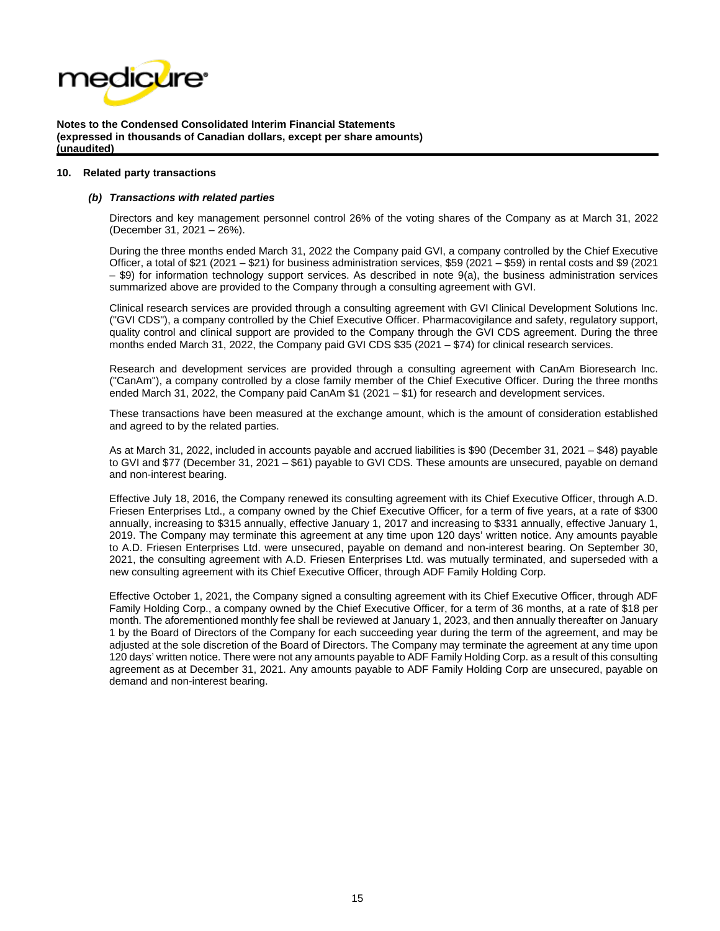

#### **10. Related party transactions**

#### *(b) Transactions with related parties*

Directors and key management personnel control 26% of the voting shares of the Company as at March 31, 2022 (December 31, 2021 – 26%).

During the three months ended March 31, 2022 the Company paid GVI, a company controlled by the Chief Executive Officer, a total of \$21 (2021 – \$21) for business administration services, \$59 (2021 – \$59) in rental costs and \$9 (2021 – \$9) for information technology support services. As described in note 9(a), the business administration services summarized above are provided to the Company through a consulting agreement with GVI.

Clinical research services are provided through a consulting agreement with GVI Clinical Development Solutions Inc. ("GVI CDS"), a company controlled by the Chief Executive Officer. Pharmacovigilance and safety, regulatory support, quality control and clinical support are provided to the Company through the GVI CDS agreement. During the three months ended March 31, 2022, the Company paid GVI CDS \$35 (2021 – \$74) for clinical research services.

Research and development services are provided through a consulting agreement with CanAm Bioresearch Inc. ("CanAm"), a company controlled by a close family member of the Chief Executive Officer. During the three months ended March 31, 2022, the Company paid CanAm \$1 (2021 – \$1) for research and development services.

These transactions have been measured at the exchange amount, which is the amount of consideration established and agreed to by the related parties.

As at March 31, 2022, included in accounts payable and accrued liabilities is \$90 (December 31, 2021 – \$48) payable to GVI and \$77 (December 31, 2021 – \$61) payable to GVI CDS. These amounts are unsecured, payable on demand and non-interest bearing.

Effective July 18, 2016, the Company renewed its consulting agreement with its Chief Executive Officer, through A.D. Friesen Enterprises Ltd., a company owned by the Chief Executive Officer, for a term of five years, at a rate of \$300 annually, increasing to \$315 annually, effective January 1, 2017 and increasing to \$331 annually, effective January 1, 2019. The Company may terminate this agreement at any time upon 120 days' written notice. Any amounts payable to A.D. Friesen Enterprises Ltd. were unsecured, payable on demand and non-interest bearing. On September 30, 2021, the consulting agreement with A.D. Friesen Enterprises Ltd. was mutually terminated, and superseded with a new consulting agreement with its Chief Executive Officer, through ADF Family Holding Corp.

Effective October 1, 2021, the Company signed a consulting agreement with its Chief Executive Officer, through ADF Family Holding Corp., a company owned by the Chief Executive Officer, for a term of 36 months, at a rate of \$18 per month. The aforementioned monthly fee shall be reviewed at January 1, 2023, and then annually thereafter on January 1 by the Board of Directors of the Company for each succeeding year during the term of the agreement, and may be adjusted at the sole discretion of the Board of Directors. The Company may terminate the agreement at any time upon 120 days' written notice. There were not any amounts payable to ADF Family Holding Corp. as a result of this consulting agreement as at December 31, 2021. Any amounts payable to ADF Family Holding Corp are unsecured, payable on demand and non-interest bearing.